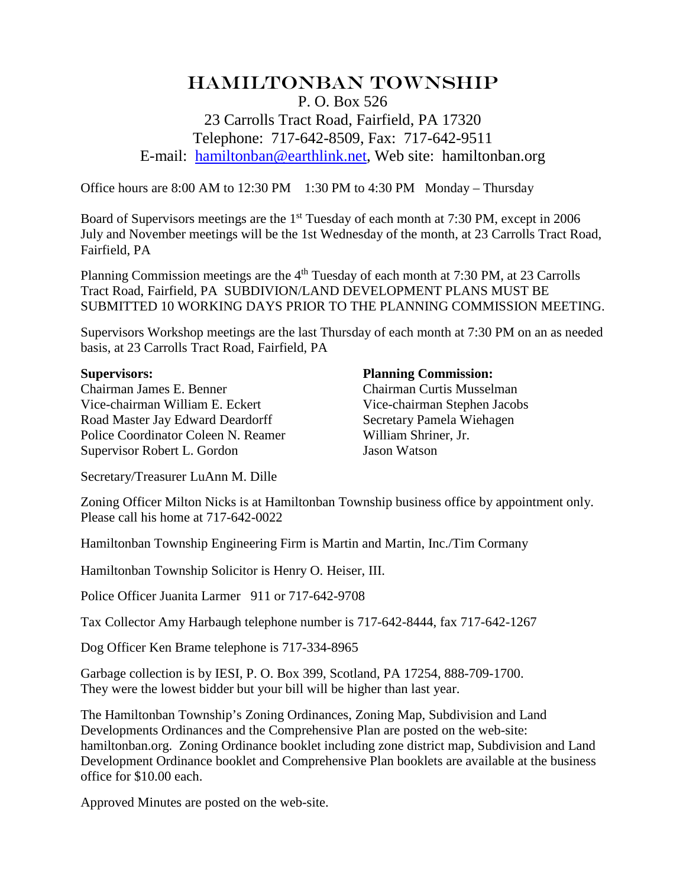## Hamiltonban Township P. O. Box 526 23 Carrolls Tract Road, Fairfield, PA 17320 Telephone: 717-642-8509, Fax: 717-642-9511 E-mail: [hamiltonban@earthlink.net,](mailto:hamiltonban@earthlink.net) Web site: hamiltonban.org

Office hours are 8:00 AM to 12:30 PM 1:30 PM to 4:30 PM Monday – Thursday

Board of Supervisors meetings are the 1<sup>st</sup> Tuesday of each month at 7:30 PM, except in 2006 July and November meetings will be the 1st Wednesday of the month, at 23 Carrolls Tract Road, Fairfield, PA

Planning Commission meetings are the 4<sup>th</sup> Tuesday of each month at 7:30 PM, at 23 Carrolls Tract Road, Fairfield, PA SUBDIVION/LAND DEVELOPMENT PLANS MUST BE SUBMITTED 10 WORKING DAYS PRIOR TO THE PLANNING COMMISSION MEETING.

Supervisors Workshop meetings are the last Thursday of each month at 7:30 PM on an as needed basis, at 23 Carrolls Tract Road, Fairfield, PA

**Supervisors: Planning Commission:**<br> **Chairman James E. Benner Planning Commission: Chairman Curtis Mussel** Vice-chairman William E. Eckert Vice-chairman Stephen Jacobs Road Master Jay Edward Deardorff Secretary Pamela Wiehagen Police Coordinator Coleen N. Reamer William Shriner, Jr. Supervisor Robert L. Gordon Jason Watson

Chairman Curtis Musselman

Secretary/Treasurer LuAnn M. Dille

Zoning Officer Milton Nicks is at Hamiltonban Township business office by appointment only. Please call his home at 717-642-0022

Hamiltonban Township Engineering Firm is Martin and Martin, Inc./Tim Cormany

Hamiltonban Township Solicitor is Henry O. Heiser, III.

Police Officer Juanita Larmer 911 or 717-642-9708

Tax Collector Amy Harbaugh telephone number is 717-642-8444, fax 717-642-1267

Dog Officer Ken Brame telephone is 717-334-8965

Garbage collection is by IESI, P. O. Box 399, Scotland, PA 17254, 888-709-1700. They were the lowest bidder but your bill will be higher than last year.

The Hamiltonban Township's Zoning Ordinances, Zoning Map, Subdivision and Land Developments Ordinances and the Comprehensive Plan are posted on the web-site: hamiltonban.org. Zoning Ordinance booklet including zone district map, Subdivision and Land Development Ordinance booklet and Comprehensive Plan booklets are available at the business office for \$10.00 each.

Approved Minutes are posted on the web-site.